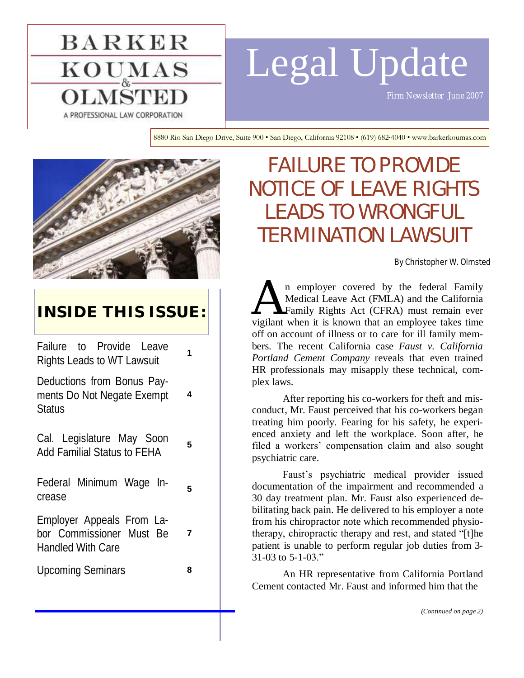# **BARKER**  $\mathrm{KOU}_{\mathrm{\tiny \&}}\mathrm{MAS}$ A PROFESSIONAL LAW CORPORATION

# Legal Update

8880 Rio San Diego Drive, Suite 900 • San Diego, California 92108 • (619) 682-4040 • www.barkerkoumas.com



## **INSIDE THIS ISSUE:**

Failure to Provide Leave Rights Leads to WT Lawsuit **<sup>1</sup>**

Deductions from Bonus Payments Do Not Negate Exempt **Status** 

Cal. Legislature May Soon Add Familial Status to FEHA **<sup>5</sup>**

Federal Minimum Wage Increase

Employer Appeals From Labor Commissioner Must Be Handled With Care

Upcoming Seminars **8**

**5**

**7**

**4**

# FAILURE TO PROVIDE NOTICE OF LEAVE RIGHTS LEADS TO WRONGFUL TERMINATION LAWSUIT

By Christopher W. Olmsted

A n employer covered by the federal Family<br>Medical Leave Act (FMLA) and the California<br>Family Rights Act (CFRA) must remain ever<br>vigilant when it is known that an employee takes time n employer covered by the federal Family Medical Leave Act (FMLA) and the California Family Rights Act (CFRA) must remain ever off on account of illness or to care for ill family members. The recent California case *Faust v. California Portland Cement Company* reveals that even trained HR professionals may misapply these technical, complex laws.

After reporting his co-workers for theft and misconduct, Mr. Faust perceived that his co-workers began treating him poorly. Fearing for his safety, he experienced anxiety and left the workplace. Soon after, he filed a workers' compensation claim and also sought psychiatric care.

Faust's psychiatric medical provider issued documentation of the impairment and recommended a 30 day treatment plan. Mr. Faust also experienced debilitating back pain. He delivered to his employer a note from his chiropractor note which recommended physiotherapy, chiropractic therapy and rest, and stated "[t]he patient is unable to perform regular job duties from 3-  $31-03$  to  $5-1-03$ ."

An HR representative from California Portland Cement contacted Mr. Faust and informed him that the

*(Continued on page 2)*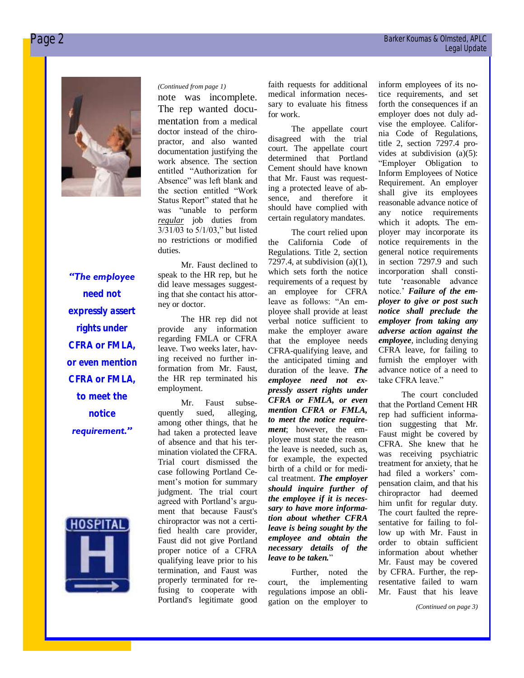

## *"The employee need not expressly assert rights under CFRA or FMLA, or even mention CFRA or FMLA, to meet the notice*

*requirement."* 



#### *(Continued from page 1)*

note was incomplete. The rep wanted documentation from a medical doctor instead of the chiropractor, and also wanted documentation justifying the work absence. The section entitled "Authorization for Absence" was left blank and the section entitled "Work Status Report" stated that he was "unable to perform *regular* job duties from  $3/31/03$  to  $5/1/03$ ," but listed no restrictions or modified duties.

Mr. Faust declined to speak to the HR rep, but he did leave messages suggesting that she contact his attorney or doctor.

The HR rep did not provide any information regarding FMLA or CFRA leave. Two weeks later, having received no further information from Mr. Faust, the HR rep terminated his employment.

Mr. Faust subsequently sued, alleging, among other things, that he had taken a protected leave of absence and that his termination violated the CFRA. Trial court dismissed the case following Portland Cement's motion for summary judgment. The trial court agreed with Portland's argument that because Faust's chiropractor was not a certified health care provider, Faust did not give Portland proper notice of a CFRA qualifying leave prior to his termination, and Faust was properly terminated for refusing to cooperate with Portland's legitimate good faith requests for additional medical information necessary to evaluate his fitness for work.

The appellate court disagreed with the trial court. The appellate court determined that Portland Cement should have known that Mr. Faust was requesting a protected leave of absence, and therefore it should have complied with certain regulatory mandates.

The court relied upon the California Code of Regulations. Title 2, section 7297.4, at subdivision (a)(1), which sets forth the notice requirements of a request by an employee for CFRA leave as follows: "An employee shall provide at least verbal notice sufficient to make the employer aware that the employee needs CFRA-qualifying leave, and the anticipated timing and duration of the leave. *The employee need not expressly assert rights under CFRA or FMLA, or even mention CFRA or FMLA, to meet the notice requirement*; however, the employee must state the reason the leave is needed, such as, for example, the expected birth of a child or for medical treatment. *The employer should inquire further of the employee if it is necessary to have more information about whether CFRA leave is being sought by the employee and obtain the necessary details of the leave to be taken.*‖

Further, noted the court, the implementing regulations impose an obligation on the employer to

inform employees of its notice requirements, and set forth the consequences if an employer does not duly advise the employee. California Code of Regulations, title 2, section 7297.4 provides at subdivision (a)(5): ―Employer Obligation to Inform Employees of Notice Requirement. An employer shall give its employees reasonable advance notice of any notice requirements which it adopts. The employer may incorporate its notice requirements in the general notice requirements in section 7297.9 and such incorporation shall constitute 'reasonable advance notice.' *Failure of the employer to give or post such notice shall preclude the employer from taking any adverse action against the employee*, including denying CFRA leave, for failing to furnish the employer with advance notice of a need to take CFRA leave."

The court concluded that the Portland Cement HR rep had sufficient information suggesting that Mr. Faust might be covered by CFRA. She knew that he was receiving psychiatric treatment for anxiety, that he had filed a workers' compensation claim, and that his chiropractor had deemed him unfit for regular duty. The court faulted the representative for failing to follow up with Mr. Faust in order to obtain sufficient information about whether Mr. Faust may be covered by CFRA. Further, the representative failed to warn Mr. Faust that his leave

*(Continued on page 3)*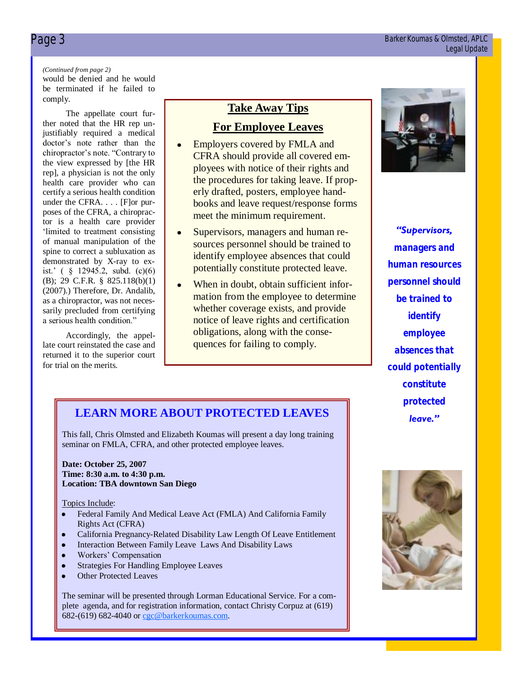#### Page 3 Barker Koumas & Olmsted, APLC Legal Update

#### *(Continued from page 2)*

would be denied and he would be terminated if he failed to comply.

The appellate court further noted that the HR rep unjustifiably required a medical doctor's note rather than the chiropractor's note. "Contrary to the view expressed by [the HR rep], a physician is not the only health care provider who can certify a serious health condition under the CFRA. . . . [F]or purposes of the CFRA, a chiropractor is a health care provider ‗limited to treatment consisting of manual manipulation of the spine to correct a subluxation as demonstrated by X-ray to exist.' ( § 12945.2, subd. (c)(6) (B); 29 C.F.R. § 825.118(b)(1) (2007).) Therefore, Dr. Andalib, as a chiropractor, was not necessarily precluded from certifying a serious health condition."

Accordingly, the appellate court reinstated the case and returned it to the superior court for trial on the merits.

#### **Take Away Tips**

#### **For Employee Leaves**

- Employers covered by FMLA and  $\bullet$ CFRA should provide all covered employees with notice of their rights and the procedures for taking leave. If properly drafted, posters, employee handbooks and leave request/response forms meet the minimum requirement.
- Supervisors, managers and human re- $\bullet$ sources personnel should be trained to identify employee absences that could potentially constitute protected leave.
- $\bullet$ When in doubt, obtain sufficient information from the employee to determine whether coverage exists, and provide notice of leave rights and certification obligations, along with the consequences for failing to comply.



*"Supervisors, managers and human resources personnel should be trained to identify employee absences that could potentially constitute protected leave."* 

### **LEARN MORE ABOUT PROTECTED LEAVES**

This fall, Chris Olmsted and Elizabeth Koumas will present a day long training seminar on FMLA, CFRA, and other protected employee leaves.

#### **Date: October 25, 2007 Time: 8:30 a.m. to 4:30 p.m. Location: TBA downtown San Diego**

#### Topics Include:

- Federal Family And Medical Leave Act (FMLA) And California Family Rights Act (CFRA)
- California Pregnancy-Related Disability Law Length Of Leave Entitlement
- Interaction Between Family Leave Laws And Disability Laws
- Workers' Compensation
- Strategies For Handling Employee Leaves
- Other Protected Leaves

The seminar will be presented through Lorman Educational Service. For a complete agenda, and for registration information, contact Christy Corpuz at (619) 682-(619) 682-4040 or [cgc@barkerkoumas.com.](mailto:mailto:cgc@barkerkoumas.com?subject=Additional%20Information%20Regarding%20October%2025%20California%20Leaves%20Seminar)

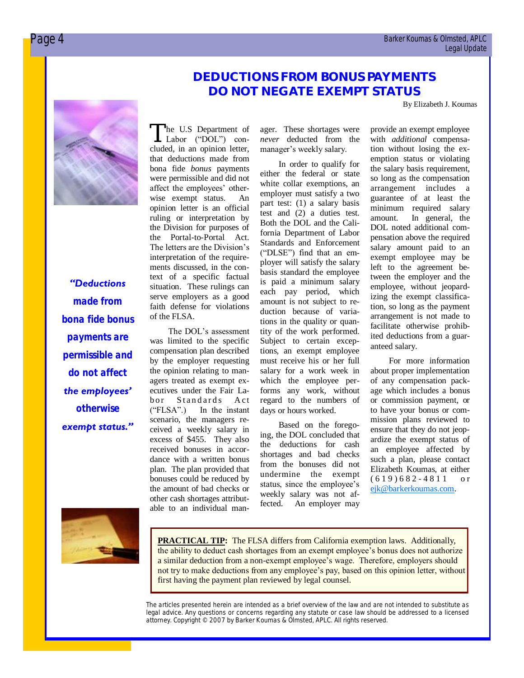## **DEDUCTIONS FROM BONUS PAYMENTS DO NOT NEGATE EXEMPT STATUS**

By Elizabeth J. Koumas

#### *"Deductions*

*made from bona fide bonus payments are permissible and do not affect the employees' otherwise exempt status."*

The U.S Department of<br>
Labor ("DOL") con-<br>
cluded, in an opinion letter, he U.S Department of Labor ("DOL") conthat deductions made from bona fide *bonus* payments were permissible and did not affect the employees' otherwise exempt status. An opinion letter is an official ruling or interpretation by the Division for purposes of the Portal-to-Portal Act. The letters are the Division's interpretation of the requirements discussed, in the context of a specific factual situation. These rulings can serve employers as a good faith defense for violations of the FLSA.

The DOL's assessment was limited to the specific compensation plan described by the employer requesting the opinion relating to managers treated as exempt executives under the Fair Labor Standards Act  $('FLSA").$  In the instant scenario, the managers received a weekly salary in excess of \$455. They also received bonuses in accordance with a written bonus plan. The plan provided that bonuses could be reduced by the amount of bad checks or other cash shortages attributable to an individual manager. These shortages were *never* deducted from the manager's weekly salary.

In order to qualify for either the federal or state white collar exemptions, an employer must satisfy a two part test: (1) a salary basis test and (2) a duties test. Both the DOL and the California Department of Labor Standards and Enforcement ("DLSE") find that an employer will satisfy the salary basis standard the employee is paid a minimum salary each pay period, which amount is not subject to reduction because of variations in the quality or quantity of the work performed. Subject to certain exceptions, an exempt employee must receive his or her full salary for a work week in which the employee performs any work, without regard to the numbers of days or hours worked.

Based on the foregoing, the DOL concluded that the deductions for cash shortages and bad checks from the bonuses did not undermine the exempt status, since the employee's weekly salary was not affected. An employer may provide an exempt employee with *additional* compensation without losing the exemption status or violating the salary basis requirement, so long as the compensation arrangement includes a guarantee of at least the minimum required salary amount. In general, the DOL noted additional compensation above the required salary amount paid to an exempt employee may be left to the agreement between the employer and the employee, without jeopardizing the exempt classification, so long as the payment arrangement is not made to facilitate otherwise prohibited deductions from a guaranteed salary.

For more information about proper implementation of any compensation package which includes a bonus or commission payment, or to have your bonus or commission plans reviewed to ensure that they do not jeopardize the exempt status of an employee affected by such a plan, please contact Elizabeth Koumas, at either  $(619)682 - 4811$  or [ejk@barkerkoumas.com.](mailto:ejk@barkerkoumas.com)



**PRACTICAL TIP:** The FLSA differs from California exemption laws. Additionally, the ability to deduct cash shortages from an exempt employee's bonus does not authorize a similar deduction from a non-exempt employee's wage. Therefore, employers should not try to make deductions from any employee's pay, based on this opinion letter, without first having the payment plan reviewed by legal counsel.

*The articles presented herein are intended as a brief overview of the law and are not intended to substitute as legal advice. Any questions or concerns regarding any statute or case law should be addressed to a licensed attorney. Copyright © 2007 by Barker Koumas & Olmsted, APLC. All rights reserved.*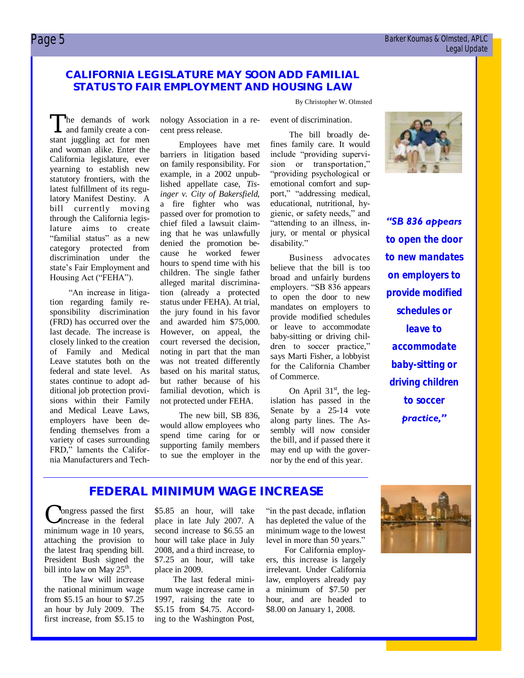#### Page 5 Barker Koumas & Olmsted, APLC Legal Update

#### **CALIFORNIA LEGISLATURE MAY SOON ADD FAMILIAL STATUS TO FAIR EMPLOYMENT AND HOUSING LAW**

By Christopher W. Olmsted

The bill broadly de-

The demands of work<br>and family create a con-<br>stant juggling act for men he demands of work and family create a conand woman alike. Enter the California legislature, ever yearning to establish new statutory frontiers, with the latest fulfillment of its regulatory Manifest Destiny. A bill currently moving through the California legislature aims to create "familial status" as a new category protected from discrimination under the state's Fair Employment and Housing Act ("FEHA").

―An increase in litigation regarding family responsibility discrimination (FRD) has occurred over the last decade. The increase is closely linked to the creation of Family and Medical Leave statutes both on the federal and state level. As states continue to adopt additional job protection provisions within their Family and Medical Leave Laws, employers have been defending themselves from a variety of cases surrounding FRD," laments the California Manufacturers and Technology Association in a recent press release.

Employees have met barriers in litigation based on family responsibility. For example, in a 2002 unpublished appellate case, *Tisinger v. City of Bakersfield*, a fire fighter who was passed over for promotion to chief filed a lawsuit claiming that he was unlawfully denied the promotion because he worked fewer hours to spend time with his children. The single father alleged marital discrimination (already a protected status under FEHA). At trial, the jury found in his favor and awarded him \$75,000. However, on appeal, the court reversed the decision, noting in part that the man was not treated differently based on his marital status, but rather because of his familial devotion, which is not protected under FEHA.

The new bill, SB 836, would allow employees who spend time caring for or supporting family members to sue the employer in the fines family care. It would include "providing supervision or transportation," "providing psychological or emotional comfort and support," "addressing medical, educational, nutritional, hygienic, or safety needs," and "attending to an illness, injury, or mental or physical disability."

event of discrimination.

Business advocates believe that the bill is too broad and unfairly burdens employers. "SB 836 appears to open the door to new mandates on employers to provide modified schedules or leave to accommodate baby-sitting or driving children to soccer practice," says Marti Fisher, a lobbyist for the California Chamber of Commerce.

On April  $31<sup>st</sup>$ , the legislation has passed in the Senate by a 25-14 vote along party lines. The Assembly will now consider the bill, and if passed there it may end up with the governor by the end of this year.



*"SB 836 appears to open the door to new mandates on employers to provide modified schedules or leave to accommodate baby-sitting or driving children to soccer practice,"* 

## **FEDERAL MINIMUM WAGE INCREASE**

C increase in the federal ongress passed the first minimum wage in 10 years, attaching the provision to the latest Iraq spending bill. President Bush signed the bill into law on May  $25^{\text{th}}$ .

The law will increase the national minimum wage from \$5.15 an hour to \$7.25 an hour by July 2009. The first increase, from \$5.15 to

\$5.85 an hour, will take place in late July 2007. A second increase to \$6.55 an hour will take place in July 2008, and a third increase, to \$7.25 an hour, will take place in 2009.

The last federal minimum wage increase came in 1997, raising the rate to \$5.15 from \$4.75. According to the Washington Post,

"in the past decade, inflation has depleted the value of the minimum wage to the lowest level in more than 50 years."

For California employers, this increase is largely irrelevant. Under California law, employers already pay a minimum of \$7.50 per hour, and are headed to \$8.00 on January 1, 2008.

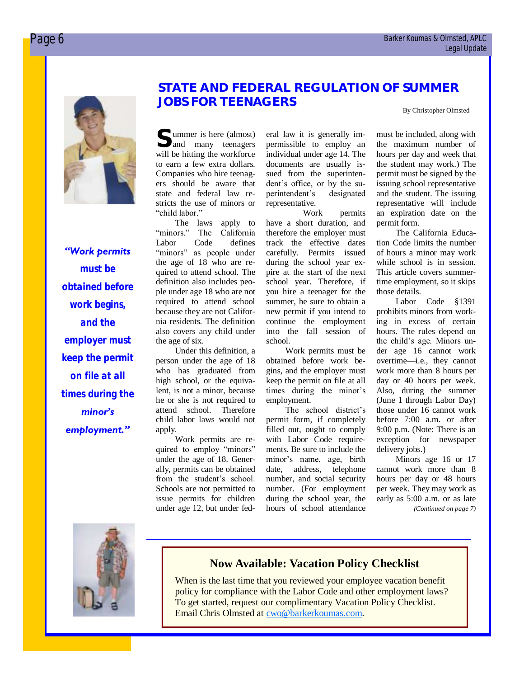

#### *"Work permits*

*must be obtained before work begins, and the employer must keep the permit on file at all times during the minor's employment."*

#### **STATE AND FEDERAL REGULATION OF SUMMER JOBS FOR TEENAGERS**

By Christopher Olmsted

**S** ummer is here (almost) and many teenagers will be hitting the workforce to earn a few extra dollars. Companies who hire teenagers should be aware that state and federal law restricts the use of minors or "child labor."

The laws apply to<br>"minors." The California The California Labor Code defines "minors" as people under the age of 18 who are required to attend school. The definition also includes people under age 18 who are not required to attend school because they are not California residents. The definition also covers any child under the age of six.

Under this definition, a person under the age of 18 who has graduated from high school, or the equivalent, is not a minor, because he or she is not required to attend school. Therefore child labor laws would not apply.

Work permits are required to employ "minors" under the age of 18. Generally, permits can be obtained from the student's school. Schools are not permitted to issue permits for children under age 12, but under federal law it is generally impermissible to employ an individual under age 14. The documents are usually issued from the superintendent's office, or by the superintendent's designated representative.

Work permits have a short duration, and therefore the employer must track the effective dates carefully. Permits issued during the school year expire at the start of the next school year. Therefore, if you hire a teenager for the summer, be sure to obtain a new permit if you intend to continue the employment into the fall session of school.

Work permits must be obtained before work begins, and the employer must keep the permit on file at all times during the minor's employment.

The school district's permit form, if completely filled out, ought to comply with Labor Code requirements. Be sure to include the minor's name, age, birth date, address, telephone number, and social security number. (For employment during the school year, the hours of school attendance

must be included, along with the maximum number of hours per day and week that the student may work.) The permit must be signed by the issuing school representative and the student. The issuing representative will include an expiration date on the permit form.

The California Education Code limits the number of hours a minor may work while school is in session. This article covers summertime employment, so it skips those details.

Labor Code §1391 prohibits minors from working in excess of certain hours. The rules depend on the child's age. Minors under age 16 cannot work overtime—i.e., they cannot work more than 8 hours per day or 40 hours per week. Also, during the summer (June 1 through Labor Day) those under 16 cannot work before 7:00 a.m. or after 9:00 p.m. (Note: There is an exception for newspaper delivery jobs.)

Minors age 16 or 17 cannot work more than 8 hours per day or 48 hours per week. They may work as early as 5:00 a.m. or as late *(Continued on page 7)*



#### **Now Available: Vacation Policy Checklist**

When is the last time that you reviewed your employee vacation benefit policy for compliance with the Labor Code and other employment laws? To get started, request our complimentary Vacation Policy Checklist. Email Chris Olmsted at [cwo@barkerkoumas.com.](mailto:mailto:cwo@barkerkoumas.com?subject=Vacation%20Policy%20Checklist)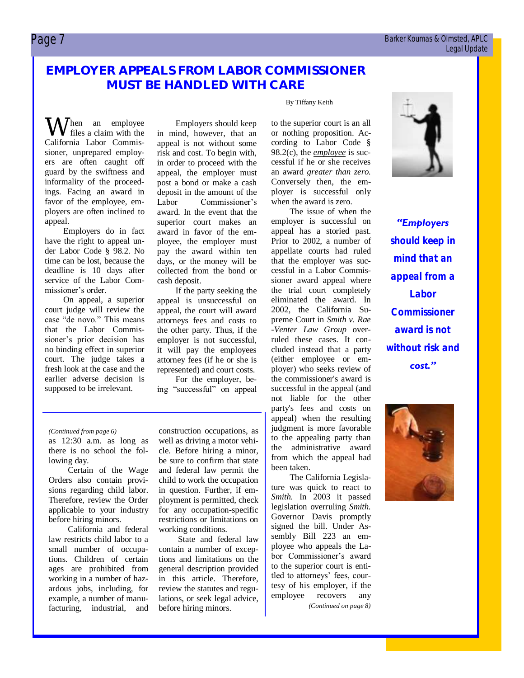#### $\Box$  Barker Koumas & Olmsted, APLC Legal Update

### **EMPLOYER APPEALS FROM LABOR COMMISSIONER MUST BE HANDLED WITH CARE**

 $\bigwedge$  / hen an employee files a claim with the California Labor Commissioner, unprepared employers are often caught off guard by the swiftness and informality of the proceedings. Facing an award in favor of the employee, employers are often inclined to appeal.

Employers do in fact have the right to appeal under Labor Code § 98.2. No time can be lost, because the deadline is 10 days after service of the Labor Commissioner's order.

On appeal, a superior court judge will review the case "de novo." This means that the Labor Commissioner's prior decision has no binding effect in superior court. The judge takes a fresh look at the case and the earlier adverse decision is supposed to be irrelevant.

Employers should keep in mind, however, that an appeal is not without some risk and cost. To begin with, in order to proceed with the appeal, the employer must post a bond or make a cash deposit in the amount of the<br>Labor Commissioner's Commissioner's award. In the event that the superior court makes an award in favor of the employee, the employer must pay the award within ten days, or the money will be collected from the bond or cash deposit.

If the party seeking the appeal is unsuccessful on appeal, the court will award attorneys fees and costs to the other party. Thus, if the employer is not successful, it will pay the employees attorney fees (if he or she is represented) and court costs.

For the employer, being "successful" on appeal

#### *(Continued from page 6)* construction occupations, as

as 12:30 a.m. as long as there is no school the following day.

Certain of the Wage Orders also contain provisions regarding child labor. Therefore, review the Order applicable to your industry before hiring minors.

California and federal law restricts child labor to a small number of occupations. Children of certain ages are prohibited from working in a number of hazardous jobs, including, for example, a number of manufacturing, industrial, and

well as driving a motor vehicle. Before hiring a minor, be sure to confirm that state and federal law permit the child to work the occupation in question. Further, if employment is permitted, check for any occupation-specific restrictions or limitations on working conditions.

State and federal law contain a number of exceptions and limitations on the general description provided in this article. Therefore, review the statutes and regulations, or seek legal advice, before hiring minors.

#### By Tiffany Keith

to the superior court is an all or nothing proposition. According to Labor Code § 98.2(c), the *employee* is successful if he or she receives an award *greater than zero*. Conversely then, the employer is successful only when the award is zero.

The issue of when the employer is successful on appeal has a storied past. Prior to 2002, a number of appellate courts had ruled that the employer was successful in a Labor Commissioner award appeal where the trial court completely eliminated the award. In 2002, the California Supreme Court in *Smith v. Rae -Venter Law Group* overruled these cases. It concluded instead that a party (either employee or employer) who seeks review of the commissioner's award is successful in the appeal (and not liable for the other party's fees and costs on appeal) when the resulting judgment is more favorable to the appealing party than the administrative award from which the appeal had been taken.

The California Legislature was quick to react to *Smith*. In 2003 it passed legislation overruling *Smith*. Governor Davis promptly signed the bill. Under Assembly Bill 223 an employee who appeals the Labor Commissioner's award to the superior court is entitled to attorneys' fees, courtesy of his employer, if the employee recovers any *(Continued on page 8)*



*"Employers should keep in mind that an appeal from a Labor Commissioner award is not without risk and cost."*